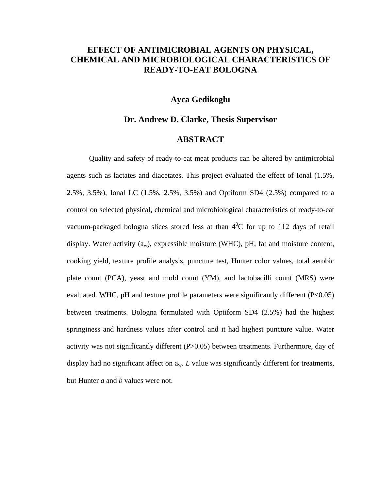## **EFFECT OF ANTIMICROBIAL AGENTS ON PHYSICAL, CHEMICAL AND MICROBIOLOGICAL CHARACTERISTICS OF READY-TO-EAT BOLOGNA**

## **Ayca Gedikoglu**

## **Dr. Andrew D. Clarke, Thesis Supervisor**

## **ABSTRACT**

Quality and safety of ready-to-eat meat products can be altered by antimicrobial agents such as lactates and diacetates. This project evaluated the effect of Ional (1.5%, 2.5%, 3.5%), Ional LC (1.5%, 2.5%, 3.5%) and Optiform SD4 (2.5%) compared to a control on selected physical, chemical and microbiological characteristics of ready-to-eat vacuum-packaged bologna slices stored less at than  $4^0C$  for up to 112 days of retail display. Water activity  $(a_w)$ , expressible moisture (WHC), pH, fat and moisture content, cooking yield, texture profile analysis, puncture test, Hunter color values, total aerobic plate count (PCA), yeast and mold count (YM), and lactobacilli count (MRS) were evaluated. WHC, pH and texture profile parameters were significantly different  $(P<0.05)$ between treatments. Bologna formulated with Optiform SD4 (2.5%) had the highest springiness and hardness values after control and it had highest puncture value. Water activity was not significantly different (P>0.05) between treatments. Furthermore, day of display had no significant affect on  $a_w$ . *L* value was significantly different for treatments, but Hunter *a* and *b* values were not.